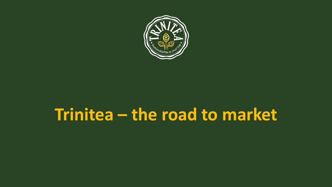

# Trinitea - the road to market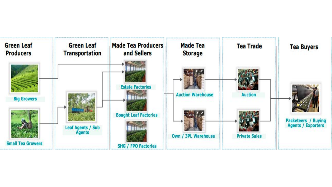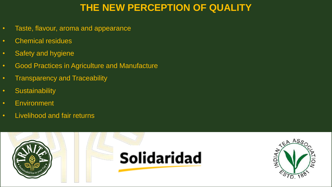# **THE NEW PERCEPTION OF QUALITY**

- Taste, flavour, aroma and appearance
- Chemical residues
- Safety and hygiene
- Good Practices in Agriculture and Manufacture
- Transparency and Traceability
- Sustainability
- Environment
- Livelihood and fair returns



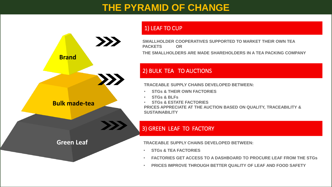## **THE PYRAMID OF CHANGE**



#### 1) LEAF TO CUP

**SMALLHOLDER COOPERATIVES SUPPORTED TO MARKET THEIR OWN TEA PACKETS OR THE SMALLHOLDERS ARE MADE SHAREHOLDERS IN A TEA PACKING COMPANY**

#### 2) BULK TEA TO AUCTIONS

**TRACEABLE SUPPLY CHAINS DEVELOPED BETWEEN:** 

- **STGs & THEIR OWN FACTORIES**
- **STGs & BLFs**
- **STGs & ESTATE FACTORIES PRICES APPRECIATE AT THE AUCTION BASED ON QUALITY, TRACEABILITY & SUSTAINABILITY**

#### 3) GREEN LEAF TO FACTORY

**TRACEABLE SUPPLY CHAINS DEVELOPED BETWEEN:**

- **STGs & TEA FACTORIES**
- **FACTORIES GET ACCESS TO A DASHBOARD TO PROCURE LEAF FROM THE STGs**
- **PRICES IMPROVE THROUGH BETTER QUALITY OF LEAF AND FOOD SAFETY**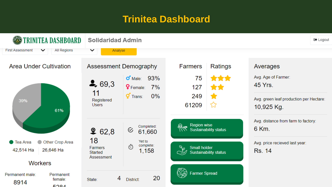### **Trinitea Dashboard**

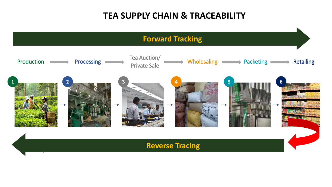### **TEA SUPPLY CHAIN & TRACEABILITY**

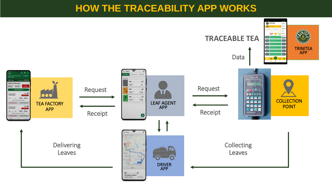### **HOW THE TRACEABILITY APP WORKS**